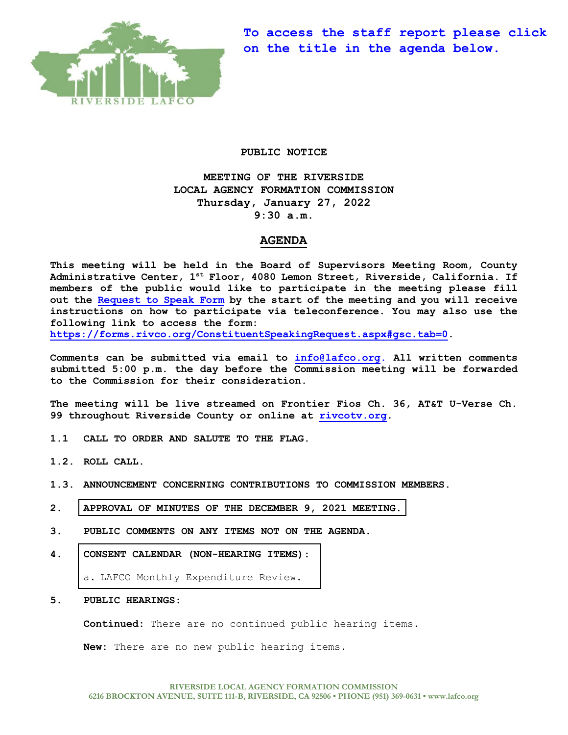

**To access the staff report please click on the title in the agenda below.** 

### **PUBLIC NOTICE**

**MEETING OF THE RIVERSIDE LOCAL AGENCY FORMATION COMMISSION Thursday, January 27, 2022 9:30 a.m.**

# **AGENDA**

**This meeting will be held in the Board of Supervisors Meeting Room, County Administrative Center, 1st Floor, 4080 Lemon Street, Riverside, California. If members of the public would like to participate in the meeting please fill out the [Request to Speak Form](https://forms.rivco.org/ConstituentSpeakingRequest.aspx#gsc.tab=0) by the start of the meeting and you will receive instructions on how to participate via teleconference. You may also use the following link to access the form:**

**[https://forms.rivco.org/ConstituentSpeakingRequest.aspx#gsc.tab=0.](https://forms.rivco.org/ConstituentSpeakingRequest.aspx#gsc.tab=0)**

**Comments can be submitted via email to [info@lafco.org.](mailto:info@lafco.org) All written comments submitted 5:00 p.m. the day before the Commission meeting will be forwarded to the Commission for their consideration.**

**The meeting will be live streamed on Frontier Fios Ch. 36, AT&T U-Verse Ch. 99 throughout Riverside County or online at [rivcotv.org.](https://rivcotv.org/)** 

- **1.1 CALL TO ORDER AND SALUTE TO THE FLAG.**
- **1.2. ROLL CALL.**
- **1.3. ANNOUNCEMENT CONCERNING CONTRIBUTIONS TO COMMISSION MEMBERS.**
- **2. [APPROVAL OF MINUTES OF THE DECEMBER 9,](https://lafco.org/wp-content/uploads/documents/january-27-2022-lafco-meeting/2.%20Minutes%20of%2012-9-2021%20Meeting.pdf) 2021 MEETING.**
- **3. PUBLIC COMMENTS ON ANY ITEMS NOT ON THE AGENDA.**
- **4. [CONSENT CALENDAR \(NON-HEARING ITEMS\):](https://lafco.org/wp-content/uploads/documents/january-27-2022-lafco-meeting/4.a.%20LAFCO%20Monthly%20Expenditure%20Report%201-27-22.pdf)**

a. LAFCO Monthly Expenditure Review.

### **5. PUBLIC HEARINGS:**

**Continued:** There are no continued public hearing items.

**New:** There are no new public hearing items.